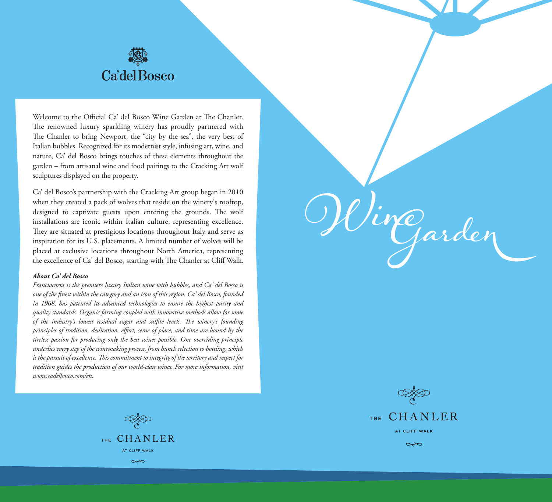

Welcome to the Official Ca' del Bosco Wine Garden at The Chanler. The renowned luxury sparkling winery has proudly partnered with The Chanler to bring Newport, the "city by the sea", the very best of Italian bubbles. Recognized for its modernist style, infusing art, wine, and nature, Ca' del Bosco brings touches of these elements throughout the garden – from artisanal wine and food pairings to the Cracking Art wolf sculptures displayed on the property.

Ca' del Bosco's partnership with the Cracking Art group began in 2010 when they created a pack of wolves that reside on the winery's rooftop, designed to captivate guests upon entering the grounds. The wolf installations are iconic within Italian culture, representing excellence. They are situated at prestigious locations throughout Italy and serve as inspiration for its U.S. placements. A limited number of wolves will be placed at exclusive locations throughout North America, representing the excellence of Ca' del Bosco, starting with The Chanler at Cliff Walk.

#### *About Ca' del Bosco*

*Franciacorta is the premiere luxury Italian wine with bubbles, and Ca' del Bosco is one of the finest within the category and an icon of this region. Ca' del Bosco, founded in 1968, has patented its advanced technologies to ensure the highest purity and quality standards. Organic farming coupled with innovative methods allow for some*  of the industry's lowest residual sugar and sulfite levels. The winery's founding *principles of tradition, dedication, effort, sense of place, and time are bound by the tireless passion for producing only the best wines possible. One overriding principle underlies every step of the winemaking process, from bunch selection to bottling, which*  is the pursuit of excellence. This commitment to integrity of the territory and respect for *tradition guides the production of our world-class wines. For more information, visit www.cadelbosco.com/en.*



Mirgarden